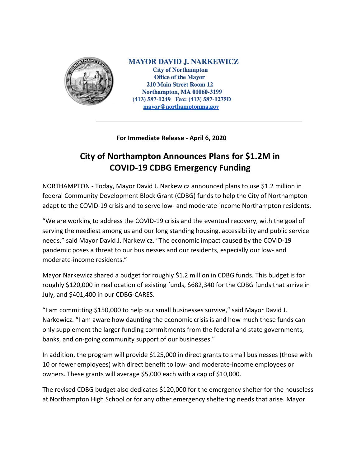

**MAYOR DAVID J. NARKEWICZ City of Northampton Office of the Mayor 210 Main Street Room 12 Northampton, MA 01060-3199** (413) 587-1249 Fax: (413) 587-1275D mayor@northamptonma.gov

**For Immediate Release - April 6, 2020**

## **City of Northampton Announces Plans for \$1.2M in COVID-19 CDBG Emergency Funding**

NORTHAMPTON - Today, Mayor David J. Narkewicz announced plans to use \$1.2 million in federal Community Development Block Grant (CDBG) funds to help the City of Northampton adapt to the COVID-19 crisis and to serve low- and moderate-income Northampton residents.

"We are working to address the COVID-19 crisis and the eventual recovery, with the goal of serving the neediest among us and our long standing housing, accessibility and public service needs," said Mayor David J. Narkewicz. "The economic impact caused by the COVID-19 pandemic poses a threat to our businesses and our residents, especially our low- and moderate-income residents."

Mayor Narkewicz shared a budget for roughly \$1.2 million in CDBG funds. This budget is for roughly \$120,000 in reallocation of existing funds, \$682,340 for the CDBG funds that arrive in July, and \$401,400 in our CDBG-CARES.

"I am committing \$150,000 to help our small businesses survive," said Mayor David J. Narkewicz. "I am aware how daunting the economic crisis is and how much these funds can only supplement the larger funding commitments from the federal and state governments, banks, and on-going community support of our businesses."

In addition, the program will provide \$125,000 in direct grants to small businesses (those with 10 or fewer employees) with direct benefit to low- and moderate-income employees or owners. These grants will average \$5,000 each with a cap of \$10,000.

The revised CDBG budget also dedicates \$120,000 for the emergency shelter for the houseless at Northampton High School or for any other emergency sheltering needs that arise. Mayor